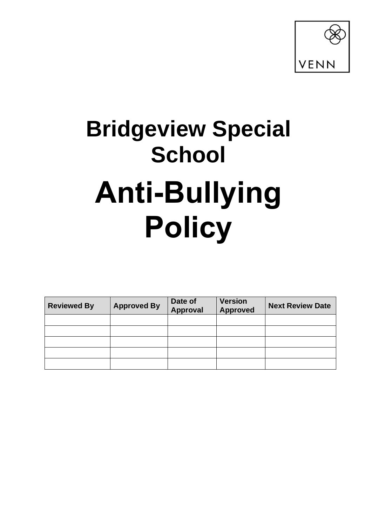

# **Bridgeview Special School Anti-Bullying Policy**

| <b>Reviewed By</b> | <b>Approved By</b> | Date of<br>Approval | <b>Version</b><br><b>Approved</b> | <b>Next Review Date</b> |
|--------------------|--------------------|---------------------|-----------------------------------|-------------------------|
|                    |                    |                     |                                   |                         |
|                    |                    |                     |                                   |                         |
|                    |                    |                     |                                   |                         |
|                    |                    |                     |                                   |                         |
|                    |                    |                     |                                   |                         |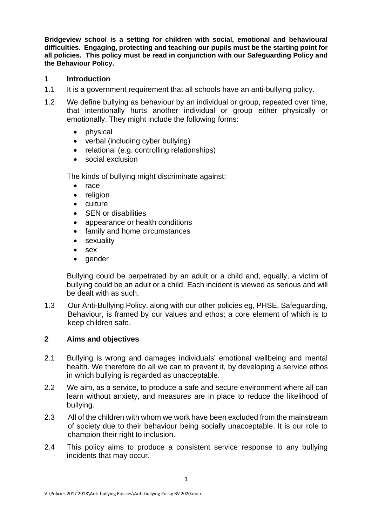**Bridgeview school is a setting for children with social, emotional and behavioural difficulties. Engaging, protecting and teaching our pupils must be the starting point for all policies. This policy must be read in conjunction with our Safeguarding Policy and the Behaviour Policy.**

## **1 Introduction**

- 1.1 It is a government requirement that all schools have an anti-bullying policy.
- 1.2 We define bullying as behaviour by an individual or group, repeated over time, that intentionally hurts another individual or group either physically or emotionally. They might include the following forms:
	- physical
	- verbal (including cyber bullying)
	- relational (e.g. controlling relationships)
	- social exclusion

The kinds of bullying might discriminate against:

- race
- religion
- culture
- SEN or disabilities
- appearance or health conditions
- family and home circumstances
- sexuality
- sex
- gender

Bullying could be perpetrated by an adult or a child and, equally, a victim of bullying could be an adult or a child. Each incident is viewed as serious and will be dealt with as such.

1.3 Our Anti-Bullying Policy, along with our other policies eg, PHSE, Safeguarding, Behaviour, is framed by our values and ethos; a core element of which is to keep children safe.

# **2 Aims and objectives**

- 2.1 Bullying is wrong and damages individuals' emotional wellbeing and mental health. We therefore do all we can to prevent it, by developing a service ethos in which bullying is regarded as unacceptable.
- 2.2 We aim, as a service, to produce a safe and secure environment where all can learn without anxiety, and measures are in place to reduce the likelihood of bullying.
- 2.3 All of the children with whom we work have been excluded from the mainstream of society due to their behaviour being socially unacceptable. It is our role to champion their right to inclusion.
- 2.4 This policy aims to produce a consistent service response to any bullying incidents that may occur.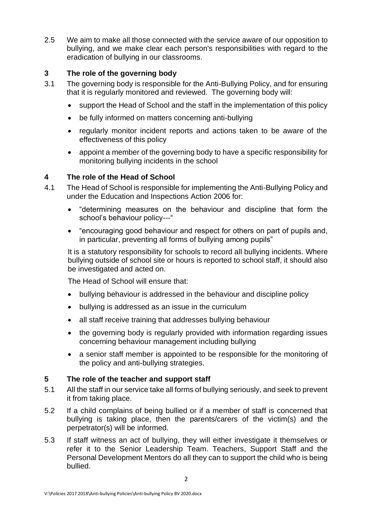2.5 We aim to make all those connected with the service aware of our opposition to bullying, and we make clear each person's responsibilities with regard to the eradication of bullying in our classrooms.

# **3 The role of the governing body**

- 3.1 The governing body is responsible for the Anti-Bullying Policy, and for ensuring that it is regularly monitored and reviewed. The governing body will:
	- support the Head of School and the staff in the implementation of this policy
	- be fully informed on matters concerning anti-bullying
	- regularly monitor incident reports and actions taken to be aware of the effectiveness of this policy
	- appoint a member of the governing body to have a specific responsibility for monitoring bullying incidents in the school

# **4 The role of the Head of School**

- 4.1 The Head of School is responsible for implementing the Anti-Bullying Policy and under the Education and Inspections Action 2006 for:
	- "determining measures on the behaviour and discipline that form the school's behaviour policy---"
	- "encouraging good behaviour and respect for others on part of pupils and, in particular, preventing all forms of bullying among pupils"

It is a statutory responsibility for schools to record all bullying incidents. Where bullying outside of school site or hours is reported to school staff, it should also be investigated and acted on.

The Head of School will ensure that:

- bullying behaviour is addressed in the behaviour and discipline policy
- bullying is addressed as an issue in the curriculum
- all staff receive training that addresses bullying behaviour
- the governing body is regularly provided with information regarding issues concerning behaviour management including bullying
- a senior staff member is appointed to be responsible for the monitoring of the policy and anti-bullying strategies.

# **5 The role of the teacher and support staff**

- 5.1 All the staff in our service take all forms of bullying seriously, and seek to prevent it from taking place.
- 5.2 If a child complains of being bullied or if a member of staff is concerned that bullying is taking place, then the parents/carers of the victim(s) and the perpetrator(s) will be informed.
- 5.3 If staff witness an act of bullying, they will either investigate it themselves or refer it to the Senior Leadership Team. Teachers, Support Staff and the Personal Development Mentors do all they can to support the child who is being bullied.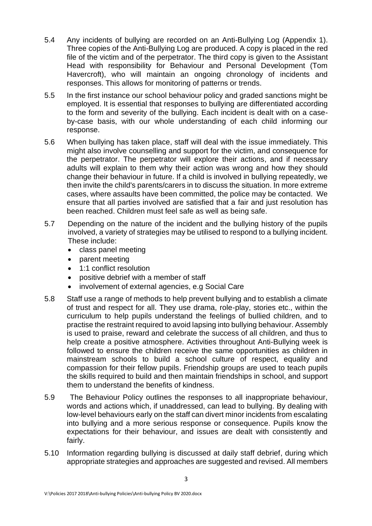- 5.4 Any incidents of bullying are recorded on an Anti-Bullying Log (Appendix 1). Three copies of the Anti-Bullying Log are produced. A copy is placed in the red file of the victim and of the perpetrator. The third copy is given to the Assistant Head with responsibility for Behaviour and Personal Development (Tom Havercroft), who will maintain an ongoing chronology of incidents and responses. This allows for monitoring of patterns or trends.
- 5.5 In the first instance our school behaviour policy and graded sanctions might be employed. It is essential that responses to bullying are differentiated according to the form and severity of the bullying. Each incident is dealt with on a caseby-case basis, with our whole understanding of each child informing our response.
- 5.6 When bullying has taken place, staff will deal with the issue immediately. This might also involve counselling and support for the victim, and consequence for the perpetrator. The perpetrator will explore their actions, and if necessary adults will explain to them why their action was wrong and how they should change their behaviour in future. If a child is involved in bullying repeatedly, we then invite the child's parents/carers in to discuss the situation. In more extreme cases, where assaults have been committed, the police may be contacted. We ensure that all parties involved are satisfied that a fair and just resolution has been reached. Children must feel safe as well as being safe.
- 5.7 Depending on the nature of the incident and the bullying history of the pupils involved, a variety of strategies may be utilised to respond to a bullying incident. These include:
	- class panel meeting
	- parent meeting
	- 1:1 conflict resolution
	- positive debrief with a member of staff
	- involvement of external agencies, e.g Social Care
- 5.8 Staff use a range of methods to help prevent bullying and to establish a climate of trust and respect for all. They use drama, role-play, stories etc., within the curriculum to help pupils understand the feelings of bullied children, and to practise the restraint required to avoid lapsing into bullying behaviour. Assembly is used to praise, reward and celebrate the success of all children, and thus to help create a positive atmosphere. Activities throughout Anti-Bullying week is followed to ensure the children receive the same opportunities as children in mainstream schools to build a school culture of respect, equality and compassion for their fellow pupils. Friendship groups are used to teach pupils the skills required to build and then maintain friendships in school, and support them to understand the benefits of kindness.
- 5.9 The Behaviour Policy outlines the responses to all inappropriate behaviour, words and actions which, if unaddressed, can lead to bullying. By dealing with low-level behaviours early on the staff can divert minor incidents from escalating into bullying and a more serious response or consequence. Pupils know the expectations for their behaviour, and issues are dealt with consistently and fairly.
- 5.10 Information regarding bullying is discussed at daily staff debrief, during which appropriate strategies and approaches are suggested and revised. All members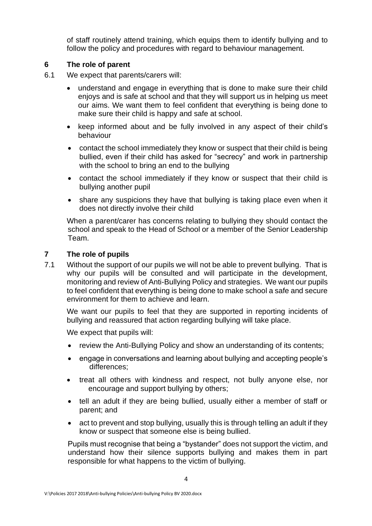of staff routinely attend training, which equips them to identify bullying and to follow the policy and procedures with regard to behaviour management.

# **6 The role of parent**

- 6.1 We expect that parents/carers will:
	- understand and engage in everything that is done to make sure their child enjoys and is safe at school and that they will support us in helping us meet our aims. We want them to feel confident that everything is being done to make sure their child is happy and safe at school.
	- keep informed about and be fully involved in any aspect of their child's behaviour
	- contact the school immediately they know or suspect that their child is being bullied, even if their child has asked for "secrecy" and work in partnership with the school to bring an end to the bullying
	- contact the school immediately if they know or suspect that their child is bullying another pupil
	- share any suspicions they have that bullying is taking place even when it does not directly involve their child

When a parent/carer has concerns relating to bullying they should contact the school and speak to the Head of School or a member of the Senior Leadership Team.

# **7 The role of pupils**

7.1 Without the support of our pupils we will not be able to prevent bullying. That is why our pupils will be consulted and will participate in the development, monitoring and review of Anti-Bullying Policy and strategies. We want our pupils to feel confident that everything is being done to make school a safe and secure environment for them to achieve and learn.

We want our pupils to feel that they are supported in reporting incidents of bullying and reassured that action regarding bullying will take place.

We expect that pupils will:

- review the Anti-Bullying Policy and show an understanding of its contents;
- engage in conversations and learning about bullying and accepting people's differences;
- treat all others with kindness and respect, not bully anyone else, nor encourage and support bullying by others;
- tell an adult if they are being bullied, usually either a member of staff or parent; and
- act to prevent and stop bullying, usually this is through telling an adult if they know or suspect that someone else is being bullied.

Pupils must recognise that being a "bystander" does not support the victim, and understand how their silence supports bullying and makes them in part responsible for what happens to the victim of bullying.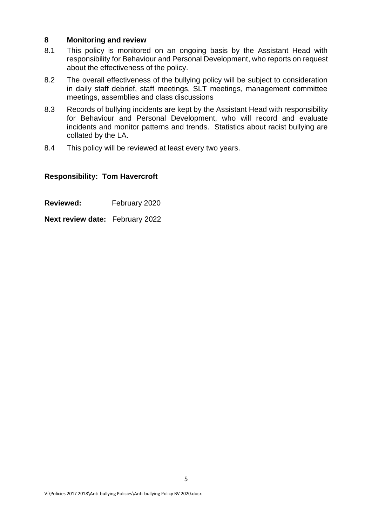#### **8 Monitoring and review**

- 8.1 This policy is monitored on an ongoing basis by the Assistant Head with responsibility for Behaviour and Personal Development, who reports on request about the effectiveness of the policy.
- 8.2 The overall effectiveness of the bullying policy will be subject to consideration in daily staff debrief, staff meetings, SLT meetings, management committee meetings, assemblies and class discussions
- 8.3 Records of bullying incidents are kept by the Assistant Head with responsibility for Behaviour and Personal Development, who will record and evaluate incidents and monitor patterns and trends. Statistics about racist bullying are collated by the LA.
- 8.4 This policy will be reviewed at least every two years.

#### **Responsibility: Tom Havercroft**

- **Reviewed:** February 2020
- **Next review date:** February 2022